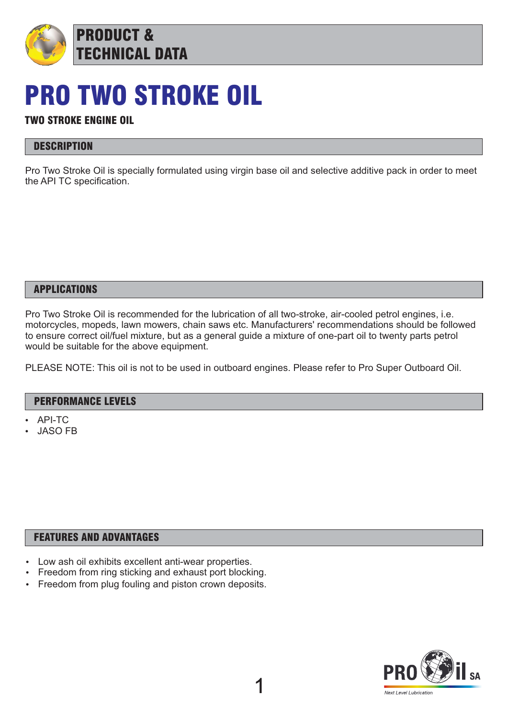

# PRODUCT & TECHNICAL DATA

# PRO TWO STROKE OIL

## TWO STROKE ENGINE OIL

### **DESCRIPTION**

Pro Two Stroke Oil is specially formulated using virgin base oil and selective additive pack in order to meet the API TC specification.

APPLICATIONS

Pro Two Stroke Oil is recommended for the lubrication of all two-stroke, air-cooled petrol engines, i.e. motorcycles, mopeds, lawn mowers, chain saws etc. Manufacturers' recommendations should be followed to ensure correct oil/fuel mixture, but as a general guide a mixture of one-part oil to twenty parts petrol would be suitable for the above equipment.

PLEASE NOTE: This oil is not to be used in outboard engines. Please refer to Pro Super Outboard Oil.

#### PERFORMANCE LEVELS

- API-TC
- **JASO FB**

### FEATURES AND ADVANTAGES

- Low ash oil exhibits excellent anti-wear properties.
- Freedom from ring sticking and exhaust port blocking.
- Freedom from plug fouling and piston crown deposits.